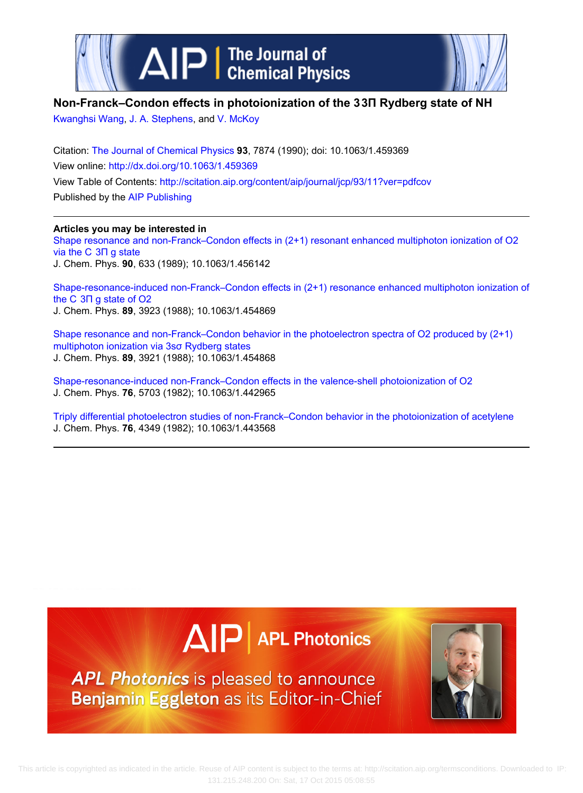



### **Non‐Franck–Condon effects in photoionization of the 3 3Π Rydberg state of NH**

[Kwanghsi Wang,](http://scitation.aip.org/search?value1=Kwanghsi+Wang&option1=author) [J. A. Stephens](http://scitation.aip.org/search?value1=J.+A.+Stephens&option1=author), and [V. McKoy](http://scitation.aip.org/search?value1=V.+McKoy&option1=author)

Citation: [The Journal of Chemical Physics](http://scitation.aip.org/content/aip/journal/jcp?ver=pdfcov) **93**, 7874 (1990); doi: 10.1063/1.459369 View online:<http://dx.doi.org/10.1063/1.459369> View Table of Contents:<http://scitation.aip.org/content/aip/journal/jcp/93/11?ver=pdfcov> Published by the [AIP Publishing](http://scitation.aip.org/content/aip?ver=pdfcov)

#### **Articles you may be interested in**

Shape resonance and non-Franck–Condon effects in (2+1) resonant enhanced multiphoton ionization of O2 [via the C  3Π g state](http://scitation.aip.org/content/aip/journal/jcp/90/2/10.1063/1.456142?ver=pdfcov) J. Chem. Phys. **90**, 633 (1989); 10.1063/1.456142

Shape-resonance-induced non-Franck–Condon effects in (2+1) resonance enhanced multiphoton ionization of [the C  3Π g state of O2](http://scitation.aip.org/content/aip/journal/jcp/89/6/10.1063/1.454869?ver=pdfcov) J. Chem. Phys. **89**, 3923 (1988); 10.1063/1.454869

[Shape resonance and non‐Franck–Condon behavior in the photoelectron spectra of O2 produced by \(2+1\)](http://scitation.aip.org/content/aip/journal/jcp/89/6/10.1063/1.454868?ver=pdfcov) [multiphoton ionization via 3sσ Rydberg states](http://scitation.aip.org/content/aip/journal/jcp/89/6/10.1063/1.454868?ver=pdfcov) J. Chem. Phys. **89**, 3921 (1988); 10.1063/1.454868

Shape-resonance-induced non-Franck–Condon effects in the valence-shell photoionization of O2 J. Chem. Phys. **76**, 5703 (1982); 10.1063/1.442965

[Triply differential photoelectron studies of non‐Franck–Condon behavior in the photoionization of acetylene](http://scitation.aip.org/content/aip/journal/jcp/76/9/10.1063/1.443568?ver=pdfcov) J. Chem. Phys. **76**, 4349 (1982); 10.1063/1.443568

# $\Delta$   $\vert P \vert$  APL Photonics

**APL Photonics** is pleased to announce Benjamin Eggleton as its Editor-in-Chief

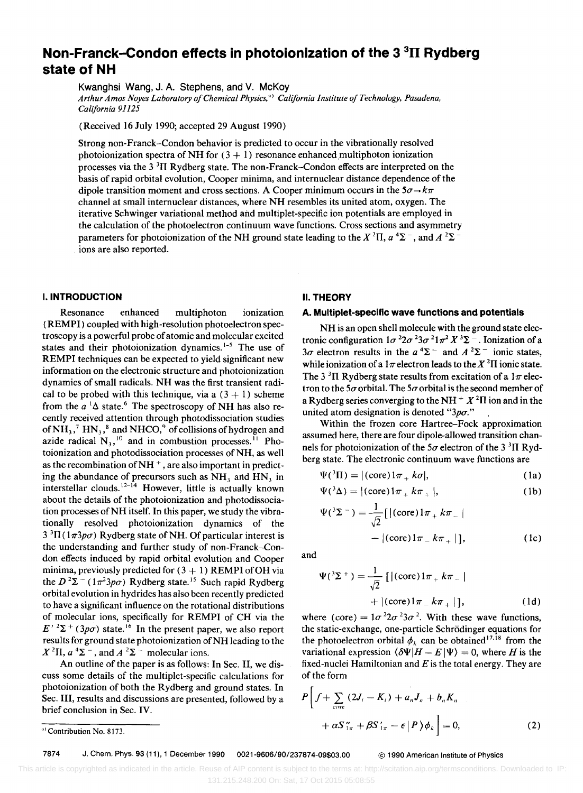## **Non-Franek-Condon effects in photoionization of the 3 3n Rydberg state of NH**

Kwanghsi Wang, J. A. Stephens, and V. McKoy

*Arthur Amos Noyes Laboratory o/Chemical Physics.") California Institute o/Technology. Pasadena, California 91125* 

(Received 16 July 1990; accepted 29 August 1990)

Strong non-Franck-Condon behavior is predicted to occur in the vibrationally resolved photoionization spectra of NH for  $(3 + 1)$  resonance enhanced multiphoton ionization processes via the  $3<sup>3</sup>$ II Rydberg state. The non-Franck-Condon effects are interpreted on the basis of rapid orbital evolution, Cooper minima, and internuclear distance dependence of the dipole transition moment and cross sections. A Cooper minimum occurs in the  $5\sigma \rightarrow k\pi$ channel at small internuclear distances, where NH resembles its united atom, oxygen. The iterative Schwinger variational method and multiplet-specific ion potentials are employed in the calculation of the photoelectron continuum wave functions. Cross sections and asymmetry parameters for photoionization of the NH ground state leading to the  $X^2\Pi$ ,  $a^4\Sigma^-$ , and  $A^2\Sigma^$ ions are also reported.

#### **I. INTRODUCTION**

Resonance enhanced multiphoton ionization (REMPI) coupled with high-resolution photoelectron spectroscopy is a powerful probe of atomic and molecular excited states and their photoionization dynamics.<sup>1-5</sup> The use of REMPI techniques can be expected to yield significant new information on the electronic structure and photoionization dynamics of small radicals. NH was the first transient radical to be probed with this technique, via a  $(3 + 1)$  scheme from the  $a^{-1}\Delta$  state.<sup>6</sup> The spectroscopy of NH has also recently received attention through photodissociation studies of  $NH_3$ ,<sup>7</sup>  $HN_3$ ,<sup>8</sup> and NHCO,<sup>9</sup> of collisions of hydrogen and azide radical  $N_3$ ,<sup>10</sup> and in combustion processes.<sup>11</sup> Photoionization and photodissociation processes of NH, as well as the recombination of  $NH<sup>+</sup>$ , are also important in predicting the abundance of precursors such as  $NH<sub>3</sub>$  and  $HN<sub>3</sub>$  in interstellar clouds.<sup>12-14</sup> However, little is actually known about the details of the photoionization and photodissociation processes of NH itself. In this paper, we study the vibrationally resolved photoionization dynamics of the  $3 \text{ }^{3} \Pi (1 \pi 3 \rho \sigma)$  Rydberg state of NH. Of particular interest is the understanding and further study of non-Franck-Condon effects induced by rapid orbital evolution and Cooper minima, previously predicted for  $(3 + 1)$  REMPI of OH via the  $D^2\Sigma^-(1\pi^23p\sigma)$  Rydberg state.<sup>15</sup> Such rapid Rydberg orbital evolution in hydrides has also been recently predicted to have a significant influence on the rotational distributions of molecular ions, specifically for REMPI of CH via the  $E'^{2}\Sigma^{+}$  (3p $\sigma$ ) state.<sup>16</sup> In the present paper, we also report results for ground state photoionization of NH leading to the  $X$ <sup>2</sup>II,  $a$ <sup>4</sup> $\Sigma^-$ , and  $A$ <sup>2</sup> $\Sigma^-$  molecular ions.

An outline of the paper is as follows: In Sec. II, we discuss some details of the multiplet-specific calculations for photoionization of both the Rydberg and ground states. In Sec. III, results and discussions are presented, followed by a brief conclusion in Sec. IV.

## tronic configuration  $1\sigma^2 2\sigma^2 3\sigma^2 1\pi^2 X^3 \Sigma$ . Ionization of a

**II. THEORY** 

 $3\sigma$  electron results in the  $a^4\Sigma^-$  and  $A^2\Sigma^-$  ionic states, while ionization of a  $1\pi$  electron leads to the  $X^2\Pi$  ionic state. The 3<sup>3</sup>II Rydberg state results from excitation of a  $1\pi$  electron to the 5 $\sigma$  orbital. The 5 $\sigma$  orbital is the second member of a Rydberg series converging to the NH  $+ X<sup>2</sup>$ II ion and in the united atom designation is denoted " $3p\sigma$ ."

NH is an open shell molecule with the ground state elec-

**A. Multiplet-specific wave functions and potentials** 

Within the frozen core Hartree-Fock approximation assumed here, there are four dipole-allowed transition channels for photoionization of the  $5\sigma$  electron of the 3<sup>3</sup>II Rydberg state. The electronic continuum wave functions are

$$
\Psi({}^{3}\Pi) = |(\text{core})1\pi_{+} k\sigma|, \tag{1a}
$$

$$
\Psi({}^3\Delta) = |(\text{core})1\pi_+ k\pi_+|,\tag{1b}
$$

$$
\Psi({}^{3}\Sigma^{-}) = \frac{1}{\sqrt{2}} [ |(\text{core})1\pi_{+}k\pi_{-}|
$$
  
 
$$
- |(\text{core})1\pi_{-}k\pi_{+}|], \qquad (1c)
$$

and

$$
\Psi({}^{3}\Sigma^{+}) = \frac{1}{\sqrt{2}} [ |(\text{core})1\pi_{+}k\pi_{-} | + |(\text{core})1\pi_{-}k\pi_{+} | ], \qquad (1d)
$$

where (core) =  $1\sigma^2 2\sigma^2 3\sigma^2$ . With these wave functions, the static-exchange, one-particle Schrodinger equations for the photoelectron orbital  $\phi_k$  can be obtained <sup>17,18</sup> from the variational expression  $\langle \delta \Psi | H - E | \Psi \rangle = 0$ , where H is the fixed-nuclei Hamiltonian and *E* is the total energy. They are of the form

$$
P\left[f+\sum_{\text{core}}\left(2J_{i}-K_{i}\right)+a_{n}J_{n}+b_{n}K_{n}\right]
$$

$$
+\alpha S\gamma_{\pi}+\beta S\gamma_{\pi}-\epsilon\left|P\right>\phi_{k}\right]=0,
$$
 (2)

7874 J. Chern. Phys. 93 (11), 1 December 1990 0021-9606/90/237874-09\$03.00 © 1990 American Institute of Physics

a) Contribution No. 8173.

This article is copyrighted as indicated in the article. Reuse of AIP content is subject to the terms at: http://scitation.aip.org/termsconditions. Downloaded to IP: 131.215.248.200 On: Sat, 17 Oct 2015 05:08:55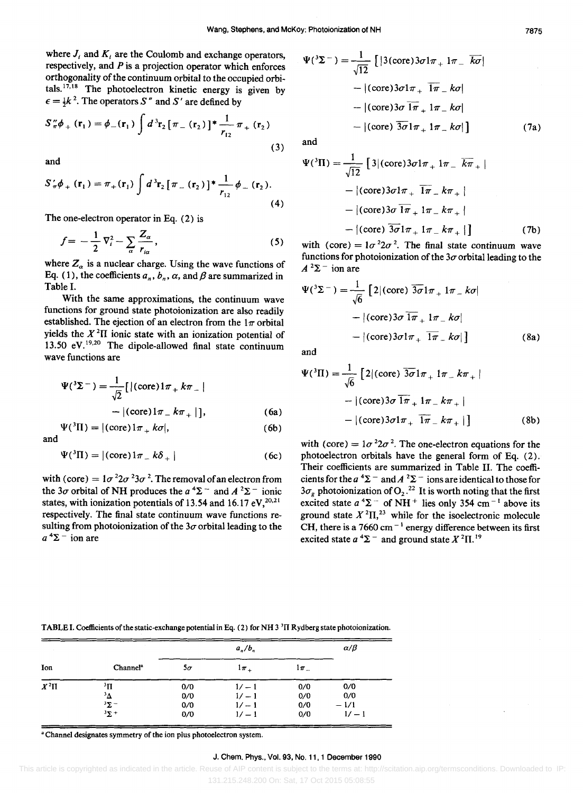where  $J_i$  and  $K_i$  are the Coulomb and exchange operators, respectively, and *P* is a projection operator which enforces orthogonality of the continuum orbital to the occupied orbitals.<sup>17,18</sup> The photoelectron kinetic energy is given by  $\epsilon = \frac{1}{2}k^2$ . The operators S'' and S' are defined by

$$
S''_{\pi}\phi_{+}(\mathbf{r}_{1}) = \phi_{-}(\mathbf{r}_{1}) \int d^{3}\mathbf{r}_{2} [\pi_{-}(\mathbf{r}_{2})]^{*} \frac{1}{r_{12}} \pi_{+}(\mathbf{r}_{2})
$$
\n(3)

and

$$
S'_{\pi}\phi_{+}(\mathbf{r}_{1}) = \pi_{+}(\mathbf{r}_{1}) \int d^{3}\mathbf{r}_{2} [\pi_{-}(\mathbf{r}_{2})]^{*} \frac{1}{r_{12}} \phi_{-}(\mathbf{r}_{2}).
$$
\n(4)

The one-electron operator in Eq. (2) is

 $\Psi({}^{3}\Pi) = |(\text{core})1\pi + k\sigma|,$ 

$$
f = -\frac{1}{2}\nabla_i^2 - \sum_{\alpha} \frac{Z_{\alpha}}{r_{i\alpha}},\tag{5}
$$

where  $Z_a$  is a nuclear charge. Using the wave functions of Eq. (1), the coefficients  $a_n$ ,  $b_n$ ,  $\alpha$ , and  $\beta$  are summarized in Table I.

With the same approximations, the continuum wave functions for ground state photoionization are also readily established. The ejection of an electron from the  $1\pi$  orbital yields the  $X<sup>2</sup>$ II ionic state with an ionization potential of 13.50  $eV$ .<sup>19,20</sup> The dipole-allowed final state continuum wave functions are

$$
\Psi({}^{3}\Sigma^{-}) = \frac{1}{\sqrt{2}} [ |(\text{core})1\pi_{+}k\pi_{-} |
$$
  
 
$$
- |(\text{core})1\pi_{-}k\pi_{+} | ], \qquad (6a)
$$

and

$$
\Psi({}^{3}\Pi) = |(\text{core})1\pi_{-k}\delta_{+}| \qquad (6c)
$$

with (core) =  $1\sigma^2 2\sigma^2 3\sigma^2$ . The removal of an electron from the 3 $\sigma$  orbital of NH produces the  $a^4\Sigma^-$  and  $A^2\Sigma^-$  ionic states, with ionization potentials of 13.54 and 16.17 eV,  $20.21$ respectively. The final state continuum wave functions resulting from photoionization of the  $3\sigma$  orbital leading to the  $a^4\Sigma$ <sup>-</sup> ion are

$$
\Psi({}^3\Sigma^-) = \frac{1}{\sqrt{12}} \left[ |3(\text{core})3\sigma 1\pi_+ 1\pi_- \overline{k\sigma} | - |(\text{core})3\sigma 1\pi_+ \overline{1\pi_- k\sigma} | - |(\text{core})3\sigma \overline{1\pi_+ 1\pi_- k\sigma} | - |(\text{core}) \overline{3\sigma 1\pi_+ 1\pi_- k\sigma} | \right]
$$
(7a)

and

$$
\Psi({}^{3}\Pi) = \frac{1}{\sqrt{12}} [3|(\text{core})3\sigma 1\pi_{+} 1\pi_{-} \overline{k\pi}_{+}|-|(\text{core})3\sigma 1\pi_{+} \overline{1\pi}_{-} k\pi_{+}|-|(\text{core})3\sigma \overline{1\pi}_{+} 1\pi_{-} k\pi_{+}|-|(\text{core}) \overline{3\sigma} 1\pi_{+} 1\pi_{-} k\pi_{+}| ] \qquad (7b)
$$

with (core) =  $1\sigma^2 2\sigma^2$ . The final state continuum wave functions for photoionization of the  $3\sigma$  orbital leading to the  $A^2\Sigma^-$  ion are

$$
\Psi({}^3\Sigma^-) = \frac{1}{\sqrt{6}} \left[ 2 | (\text{core}) \overline{3\sigma} 1\pi_+ 1\pi_- k\sigma | - | (\text{core}) 3\sigma \overline{1\pi}_+ 1\pi_- k\sigma | - | (\text{core}) 3\sigma 1\pi_+ \overline{1\pi}_- k\sigma | \right]
$$
(8a)

and

(6b)

$$
\Psi({}^{3}\Pi) = \frac{1}{\sqrt{6}} \left[ 2 | (\text{core}) \overline{3\sigma} 1\pi_{+} 1\pi_{-} k\pi_{+} | - | (\text{core}) 3\sigma \overline{1\pi}_{+} 1\pi_{-} k\pi_{+} | - | (\text{core}) 3\sigma 1\pi_{+} \overline{1\pi}_{-} k\pi_{+} | \right]
$$
(8b)

with (core) =  $1\sigma^2 2\sigma^2$ . The one-electron equations for the photoelectron orbitals have the general form of Eq. (2). Their coefficients are summarized in Table II. The coefficients for the  $a^4\Sigma^-$  and  $A^2\Sigma^-$  ions are identical to those for  $3\sigma_g$  photoionization of O<sub>2</sub>.<sup>22</sup> It is worth noting that the first excited state  $a^4\Sigma$  of NH<sup>+</sup> lies only 354 cm<sup>-1</sup> above its ground state  $X^2\Pi$ ,<sup>23</sup> while for the isoelectronic molecule CH, there is a  $7660 \text{ cm}^{-1}$  energy difference between its first excited state  $a^4\Sigma$  - and ground state  $X^2\Pi$ .<sup>19</sup>

|          |                      | $a_n/b_n$ |          |        | $\alpha/\beta$ |
|----------|----------------------|-----------|----------|--------|----------------|
| Ion      | Channel <sup>a</sup> | $5\sigma$ | $1\pi$ + | $1\pi$ |                |
| $X^2\Pi$ | ðП                   | 0/0       | $1/-1$   | 0/0    | 0/0            |
|          | $\Delta^3$           | 0/0       | $1/-1$   | 0/0    | 0/0            |
|          | $3\Sigma$ –          | 0/0       | $1/-1$   | 0/0    | $-1/1$         |
|          | $3\Sigma$ +          | 0/0       | $1/-1$   | 0/0    | $1/ - 1$       |

TABLE I. Coefficients of the static-exchange potential in Eq. (2) for NH 3<sup>3</sup>II Rydberg state photoionization.

a Channel designates symmetry of the ion plus photoelectron system.

#### J. Chem. Phys., Vol. 93, No. 11, 1 December 1990

This article is copyrighted as indicated in the article. Reuse of AIP content is subject to the terms at: http://scitation.aip.org/termsconditions. Downloaded to IP: 131.215.248.200 On: Sat, 17 Oct 2015 05:08:55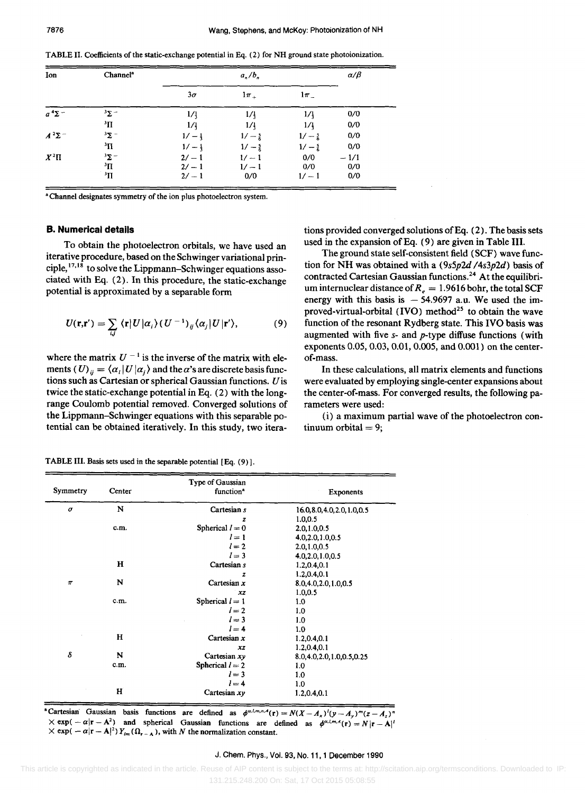TABLE II. Coefficients of the static-exchange potential in Eq. (2) for NH ground state photoionization.

| Ion           | Channel <sup>a</sup>    | $a_n/b_n$       |                  |                  | $\alpha/\beta$ |
|---------------|-------------------------|-----------------|------------------|------------------|----------------|
|               |                         | $3\sigma$       | $1\pi$           | $1\pi$           |                |
| $a^4\Sigma^-$ | $3\Sigma$ -             | $1/\frac{1}{3}$ | $1/\frac{1}{3}$  | 1/4              | 0/0            |
|               | $\mathbf{H}^{\epsilon}$ | 1/1             | 1/               | 1/4              | 0/0            |
| $A^2\Sigma^-$ | $3\Sigma$ –             | $1/-1$          | $1/-\frac{5}{6}$ | $1/-\frac{5}{6}$ | 0/0            |
|               | $\mathbf{H}^{\epsilon}$ | $1/-1$          | $1/-\frac{5}{2}$ | $1/-\frac{5}{6}$ | 0/0            |
| $X^2\Pi$      | $3\Sigma$ –             | $2/-1$          | $1/-1$           | 0/0              | $-1/1$         |
|               | $\rm{^3\Pi}$            | $2/-1$          | $1/-1$           | 0/0              | 0/0            |
|               | $\rm{^3H}$              | $2/-1$          | 0/0              | $1/-1$           | 0/0            |

<sup>a</sup> Channel designates symmetry of the ion plus photoelectron system.

#### **B. Numerical details**

To obtain the photoelectron orbitals, we have used an iterative procedure, based on the Schwinger variational principle,17,18 to solve the Lippmann-Schwinger equations associated with Eq. (2). In this procedure, the static-exchange potential is approximated by a separable form

$$
U(\mathbf{r}, \mathbf{r}') = \sum_{i,j} \langle \mathbf{r} | U | \alpha_i \rangle (U^{-1})_{ij} \langle \alpha_j | U | \mathbf{r}' \rangle, \tag{9}
$$

where the matrix  $U^{-1}$  is the inverse of the matrix with elements (U)  $_{ii} = \langle \alpha_i | U | \alpha_i \rangle$  and the  $\alpha$ 's are discrete basis functions such as Cartesian or spherical Gaussian functions. U is twice the static-exchange potential in Eq. (2) with the longrange Coulomb potential removed. Converged solutions of the Lippmann-Schwinger equations with this separable potential can be obtained iteratively. In this study, two iterations provided converged solutions of Eq.  $(2)$ . The basis sets used in the expansion of Eq. (9) are given in Table III.

The ground state self-consistent field (SCF) wave function for NH was obtained with a *(9s5p2d /4s3p2d)* basis of contracted Cartesian Gaussian functions. 24 At the equilibrium internuclear distance of  $R_e = 1.9616$  bohr, the total SCF energy with this basis is  $-54.9697$  a.u. We used the improved-virtual-orbital  $(IVO)$  method<sup>25</sup> to obtain the wave function of the resonant Rydberg state. This IVO basis was augmented with five *s-* and p-type diffuse functions (with exponents 0.05, 0.03, 0.01, 0.005, and 0.001) on the centerof-mass.

In these calculations, all matrix elements and functions were evaluated by employing single-center expansions about the center-of-mass. For converged results, the following parameters were used:

(i) a maximum partial wave of the photoelectron continuum orbital  $= 9$ ;

| TABLE III. Basis sets used in the separable potential [Eq. (9)]. |  |  |  |
|------------------------------------------------------------------|--|--|--|
|------------------------------------------------------------------|--|--|--|

| Symmetry | Center       | Type of Gaussian<br>function <sup>a</sup> | <b>Exponents</b>              |  |  |
|----------|--------------|-------------------------------------------|-------------------------------|--|--|
| $\sigma$ | N            | Cartesian s                               | 16.0, 8.0, 4.0, 2.0, 1.0, 0.5 |  |  |
|          |              | z                                         | 1.0, 0.5                      |  |  |
|          | c.m.         | Spherical $l = 0$                         | 2.0, 1.0, 0.5                 |  |  |
|          |              | $l=1$                                     | 4.0,2.0,1.0,0.5               |  |  |
|          |              | $l=2$                                     | 2.0,1.0,0.5                   |  |  |
|          |              | $l = 3$                                   | 4.0,2.0,1.0,0.5               |  |  |
|          | н            | Cartesian s                               | 1.2,0.4,0.1                   |  |  |
|          |              | z                                         | 1.2, 0.4, 0.1                 |  |  |
| $\pi$    | N            | Cartesian $x$                             | 8.0,4.0,2.0,1.0,0.5           |  |  |
|          |              | xz                                        | 1.0, 0.5                      |  |  |
|          | c.m.         | Spherical $l = 1$                         | 1.0                           |  |  |
|          |              | $l=2$                                     | 1.0                           |  |  |
|          |              | $l=3$                                     | 1.0                           |  |  |
|          |              | $l = 4$                                   | 1.0                           |  |  |
|          | н            | Cartesian $x$                             | 1.2, 0.4, 0.1                 |  |  |
|          |              | xz                                        | 1.2, 0.4, 0.1                 |  |  |
| δ        | N            | Cartesian $xy$                            | 8.0, 4.0, 2.0, 1.0, 0.5, 0.25 |  |  |
|          | c.m.         | Spherical $l = 2$                         | 1.0                           |  |  |
|          |              | $l=3$                                     | 1.0                           |  |  |
|          |              | $l = 4$                                   | 1.0                           |  |  |
|          | $\mathbf{H}$ | Cartesian $xy$                            | 1.2, 0.4, 0.1                 |  |  |

"Cartesian' Gaussian basis functions are defined as  $\phi^{a, l, m, n, A}(\mathbf{r}) = N(X - A_x)^l(y - A_y)^m(z - A_z)^n$  $\times$  exp( - a|r - A<sup>2</sup>) and spherical Gaussian functions are defined as  $\phi^{a,l,m,A}(\mathbf{r}) = N |\mathbf{r} - \mathbf{A}|^l$  $\times$  exp( -  $\alpha|\mathbf{r} - \mathbf{A}|^2$ )  $Y_{lm}(\Omega_{\mathbf{r} - \mathbf{A}})$ , with N the normalization constant.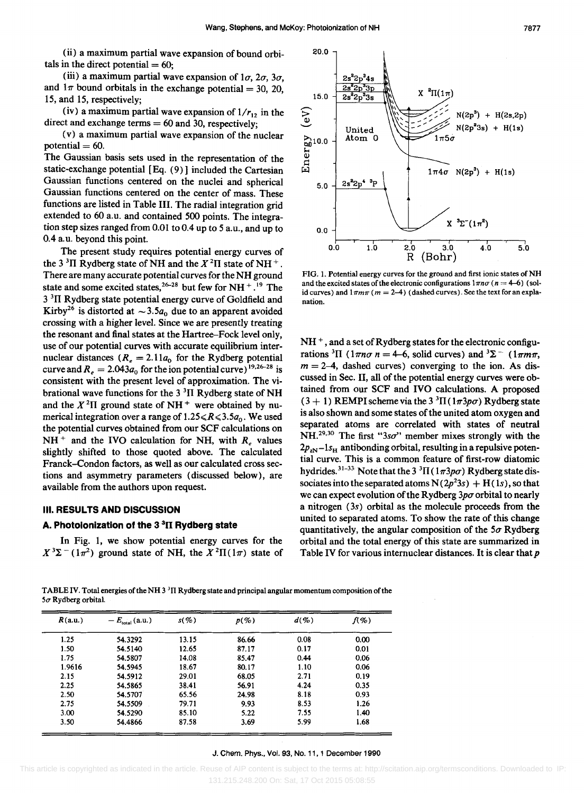20.0

(ii) a maximum partial wave expansion of bound orbitals in the direct potential  $= 60$ .

(iii) a maximum partial wave expansion of  $1\sigma$ ,  $2\sigma$ ,  $3\sigma$ , and  $1\pi$  bound orbitals in the exchange potential = 30, 20, 15, and 15, respectively;

(iv) a maximum partial wave expansion of  $1/r_{12}$  in the direct and exchange terms  $= 60$  and 30, respectively;

(v) a maximum partial wave expansion of the nuclear potential  $= 60$ .

The Gaussian basis sets used in the representation of the static-exchange potential [Eq. (9)] included the Cartesian Gaussian functions centered on the nuclei and spherical Gaussian functions centered on the center of mass. These functions are listed in Table III. The radial integration grid extended to 60 a.u. and contained 500 points. The integration step sizes ranged from 0.01 to 0.4 up to 5 a. *u.,* and up to 0.4 a.u. beyond this point.

The present study requires potential energy curves of the 3<sup>3</sup>II Rydberg state of NH and the  $X<sup>2</sup>$ II state of NH<sup>+</sup>. There are many accurate potential curves for the NH ground state and some excited states,<sup>26-28</sup> but few for NH  $^{+}$ .<sup>19</sup> The 3<sup>3</sup>II Rydberg state potential energy curve of Goldfield and Kirby<sup>26</sup> is distorted at  $\sim 3.5a_0$  due to an apparent avoided crossing with a higher level. Since we are presently treating the resonant and final states at the Hartree-Fock level only, use of our potential curves with accurate equilibrium internuclear distances  $(R_e = 2.11a_0)$  for the Rydberg potential curve and  $R_e = 2.043a_0$  for the ion potential curve) <sup>19,26-28</sup> is consistent with the present level of approximation. The vibrational wave functions for the  $3<sup>3</sup>$ II Rydberg state of NH and the  $X^2\Pi$  ground state of NH<sup>+</sup> were obtained by numerical integration over a range of  $1.25 \le R \le 3.5a_0$ . We used the potential curves obtained from our SCF calculations on  $NH<sup>+</sup>$  and the IVO calculation for NH, with  $R_e$  values slightly shifted to those quoted above. The calculated Franck-Condon factors, as well as our calculated cross sections and asymmetry parameters (discussed below), are available from the authors upon request.

#### III. **RESULTS AND DISCUSSION**

#### A. **Photolonization of the 3 3n Rydberg state**

In Fig. 1, we show potential energy curves for the  $X^3\Sigma^-(1\pi^2)$  ground state of NH, the  $X^2\Pi(1\pi)$  state of

ʻ2p '4s 2s<sup>2</sup>2p<sup>3</sup>3p  $X^2\Pi(1\pi)$ 15.0 2s<sup>2</sup>2p<sup>3</sup>3s  $\begin{array}{ll} \text{Energy} & \text{(eV)}\\ \frac{1}{6} & \text{ } \end{array}$  $N(2p^3) + H(2s,2p)$  $N(2p^23s) + H(1s)$ United Atom 0  $1\pi5\sigma$  $1\pi 4\sigma$  N(2p<sup>3</sup>) + H(1s) 5.0  $X^3\Sigma^-(1\pi^2)$ 0.0 0.0 1.0 2.0 3.0 4.0 5.0 R (Bohr)

FIG. 1. Potential energy curves for the ground and first ionic states of NH and the excited states of the electronic configurations  $1\pi n\sigma$  ( $n = 4-6$ ) (solid curves) and  $1\pi m\pi$  ( $m = 2-4$ ) (dashed curves). See the text for an explanation.

NH<sup>+</sup>, and a set of Rydberg states for the electronic configurations <sup>3</sup>II ( $1\pi n\sigma n = 4-6$ , solid curves) and <sup>3</sup> $\Sigma^-$  ( $1\pi m\pi$ ,  $m = 2-4$ , dashed curves) converging to the ion. As discussed in Sec. II, all of the potential energy curves were obtained from our SCF and IVO calculations. A proposed  $(3 + 1)$  REMPI scheme via the 3<sup>3</sup>II ( $1\pi3p\sigma$ ) Rydberg state is also shown and some states of the united atom oxygen and separated atoms are correlated with states of neutral NH.<sup>29,30</sup> The first "3so" member mixes strongly with the 2PzN-ls*H* antibonding orbital, resulting in a repulsive potential curve. This is a common feature of first-row diatomic hydrides.  $31-33$  Note that the 3  ${}^{3}\Pi$  (1 $\pi3p\sigma$ ) Rydberg state dissociates into the separated atoms  $N(2p^23s) + H(1s)$ , so that we can expect evolution of the Rydberg  $3p\sigma$  orbital to nearly a nitrogen (3s) orbital as the molecule proceeds from the united to separated atoms. To show the rate of this change quantitatively, the angular composition of the  $5\sigma$  Rydberg orbital and the total energy of this state are summarized in Table IV for various internuclear distances. It is clear that  $p$ 

TABLE IV. Total energies of the NH 3<sup>3</sup>II Rydberg state and principal angular momentum composition of the  $5\sigma$  Rydberg orbital.

| R(a.u.) | $-E_{\text{total}}(a.u.)$ | $s(\%)$ | $p(\mathcal{C}_o)$ | $d(\mathcal{C}_o)$ | $f(\mathcal{U})$ |
|---------|---------------------------|---------|--------------------|--------------------|------------------|
| 1.25    | 54.3292                   | 13.15   | 86.66              | 0.08               | 0.00             |
| 1.50    | 54.5140                   | 12.65   | 87.17              | 0.17               | 0.01             |
| 1.75    | 54.5807                   | 14.08   | 85.47              | 0.44               | 0.06             |
| 1.9616  | 54.5945                   | 18.67   | 80.17              | 1.10               | 0.06             |
| 2.15    | 54.5912                   | 29.01   | 68.05              | 2.71               | 0.19             |
| 2.25    | 54.5865                   | 38.41   | 56.91              | 4.24               | 0.35             |
| 2.50    | 54.5707                   | 65.56   | 24.98              | 8.18               | 0.93             |
| 2.75    | 54.5509                   | 79.71   | 9.93               | 8.53               | 1.26             |
| 3.00    | 54.5290                   | 85.10   | 5.22               | 7.55               | 1.40             |
| 3.50    | 54.4866                   | 87.58   | 3.69               | 5.99               | 1.68             |

#### J. Chern. Phys., Vol. 93, No. 11, 1 December 1990

 This article is copyrighted as indicated in the article. Reuse of AIP content is subject to the terms at: http://scitation.aip.org/termsconditions. Downloaded to IP: 131.215.248.200 On: Sat, 17 Oct 2015 05:08:55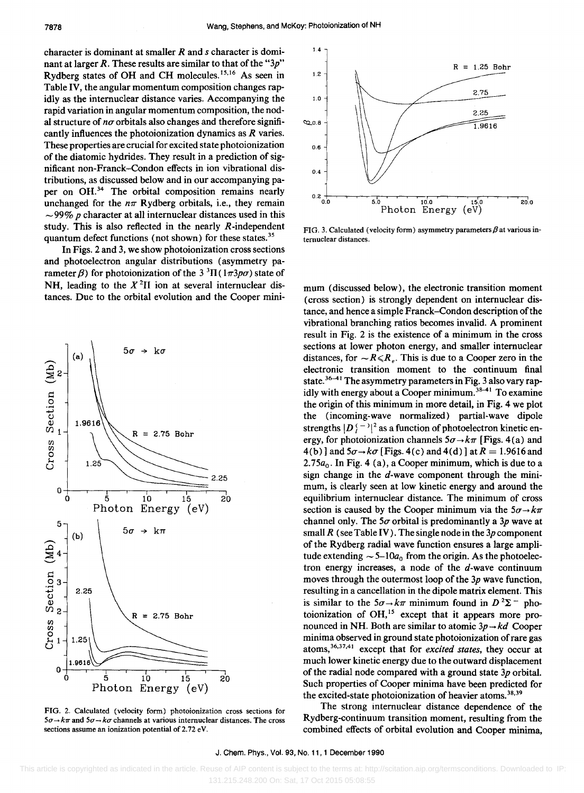character is dominant at smaller Rand *s* character is dominant at larger *R.* These results are similar to that of the *"3p"*  Rydberg states of OH and CH molecules. 15,16 As seen in Table IV, the angular momentum composition changes rapidly as the internuclear distance varies. Accompanying the rapid variation in angular momentum composition, the nodal structure of  $n\sigma$  orbitals also changes and therefore significantly influences the photoionization dynamics as *R* varies. These properties are crucial for excited state photoionization of the diatomic hydrides. They result in a prediction of significant non-Franek-Condon effects in ion vibrational distributions, as discussed below and in our accompanying paper on OH.<sup>34</sup> The orbital composition remains nearly unchanged for the  $n\pi$  Rydberg orbitals, i.e., they remain  $\sim$ 99% *p* character at all internuclear distances used in this study. This is also reflected in the nearly R-independent quantum defect functions (not shown) for these states.<sup>35</sup>

In Figs. 2 and 3, we show photoionization cross sections and photoelectron angular distributions (asymmetry parameter  $\beta$ ) for photoionization of the 3<sup>3</sup> $\Pi$ (1 $\pi$ 3 $p\sigma$ ) state of NH, leading to the  $X<sup>2</sup>$ II ion at several internuclear distances. Due to the orbital evolution and the Cooper mini-



FIG. 2. Calculated (velocity form) photoionization cross sections for  $5\sigma \rightarrow k\pi$  and  $5\sigma \rightarrow k\sigma$  channels at various internuclear distances. The cross sections assume an ionization potential of 2.72 eV.



FIG. 3. Calculated (velocity form) asymmetry parameters  $\beta$  at various internuclear distances.

mum (discussed below), the electronic transition moment (cross section) is strongly dependent on internuclear distance, and hence a simple Franck-Condon description of the vibrational branching ratios becomes invalid. A prominent result in Fig. 2 is the existence of a minimum in the cross sections at lower photon energy, and smaller internuclear distances, for  $\sim R \le R_e$ . This is due to a Cooper zero in the electronic transition moment to the continuum final state.  $36-41$  The asymmetry parameters in Fig. 3 also vary rapidly with energy about a Cooper minimum.<sup>38-41</sup> To examine the origin of this minimum in more detail, in Fig. 4 we plot the (incoming-wave normalized) partial-wave dipole strengths  $|D_{l}^{(-)}|^{2}$  as a function of photoelectron kinetic energy, for photoionization channels  $5\sigma \rightarrow k\pi$  [Figs. 4(a) and  $4(b)$  and  $5\sigma \rightarrow k\sigma$  [Figs. 4(c) and  $4(d)$ ] at  $R = 1.9616$  and 2.75 $a_0$ . In Fig. 4 (a), a Cooper minimum, which is due to a sign change in the  $d$ -wave component through the minimum, is clearly seen at low kinetic energy and around the equilibrium internuclear distance. The minimum of cross section is caused by the Cooper minimum via the  $5\sigma \rightarrow k\pi$ channel only. The  $5\sigma$  orbital is predominantly a  $3p$  wave at small *R* (see Table IV). The single node in the *3p* component of the Rydberg radial wave function ensures a large amplitude extending  $\sim 5-10a_0$  from the origin. As the photoelectron energy increases, a node of the  $d$ -wave continuum moves through the outermost loop of the *3p* wave function, resulting in a cancellation in the dipole matrix element. This is similar to the  $5\sigma \rightarrow k\pi$  minimum found in  $D^2\Sigma^-$  photoionization of  $OH$ ,<sup>15</sup> except that it appears more pronounced in NH. Both are similar to atomic  $3p \rightarrow kd$  Cooper minima observed in ground state photoionization of rare gas atoms,36,37,41 except that for *excited states,* they occur at much lower kinetic energy due to the outward displacement of the radial node compared with a ground state *3p* orbital. Such properties of Cooper minima have been predicted for the excited-state photoionization of heavier atoms.<sup>38,39</sup>

The strong internuclear distance dependence of the Rydberg-continuum transition moment, resulting from the combined effects of orbital evolution and Cooper minima,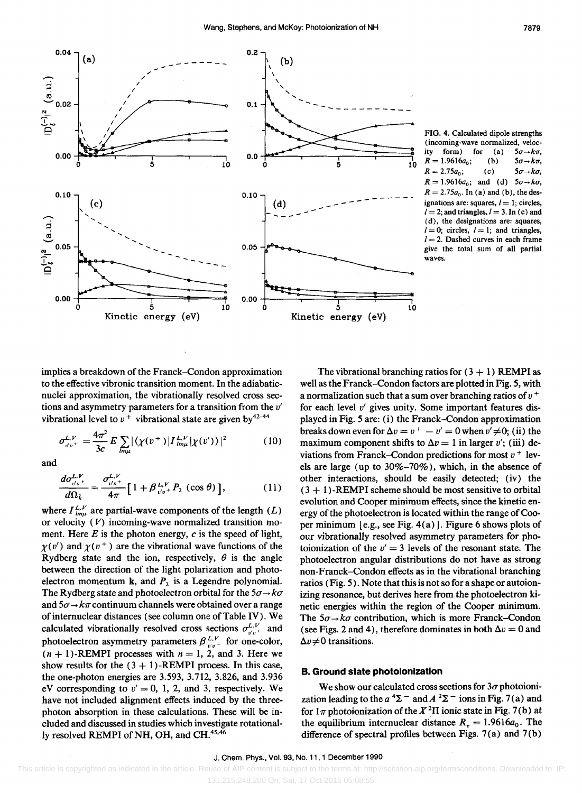

FIG. 4. Calculated dipole strengths (incoming-wave normalized, velocity form) for  $5\sigma \rightarrow k\pi$ .  $(a)$  $R = 1.9616a_0;$  $(b)$  $5\sigma \rightarrow k\pi$ ,  $R = 2.75a_0;$  $(c)$  $5\sigma \rightarrow k\sigma$ ,  $R = 1.9616a_0$ ; and (d)  $5\sigma \rightarrow k\sigma$ ,  $R = 2.75a_0$ . In (a) and (b), the designations are: squares,  $l = 1$ ; circles,  $l = 2$ ; and triangles,  $l = 3$ . In (c) and (d), the designations are: squares,  $l = 0$ ; circles,  $l = 1$ ; and triangles,  $l = 2$ . Dashed curves in each frame give the total sum of all partial waves.

implies a breakdown of the Franck-Condon approximation to the effective vibronic transition moment. In the adiabaticnuclei approximation, the vibrationally resolved cross sections and asymmetry parameters for a transition from the v' vibrational level to  $v^+$  vibrational state are given by<sup>42-44</sup>

$$
\sigma_{v'v^+}^{L,V} = \frac{4\pi^2}{3c} E \sum_{lm\mu} |\langle \chi(v^+) | I_{lm\mu}^{L,V} | \chi(v') \rangle|^2 \tag{10}
$$

and

$$
\frac{d\sigma_{v'v^+}^{L,V}}{d\Omega_k} = \frac{\sigma_{v'v^+}^{L,V}}{4\pi} \left[ 1 + \beta_{v'v^+}^{L,V} P_2 \left( \cos \theta \right) \right],\tag{11}
$$

where  $I_{lm\mu}^{L,V}$  are partial-wave components of the length  $(L)$ or velocity  $(V)$  incoming-wave normalized transition moment. Here  $E$  is the photon energy,  $c$  is the speed of light,  $\gamma(v')$  and  $\gamma(v^+)$  are the vibrational wave functions of the Rydberg state and the ion, respectively,  $\theta$  is the angle between the direction of the light polarization and photoelectron momentum  $k$ , and  $P_2$  is a Legendre polynomial. The Rydberg state and photoelectron orbital for the  $5\sigma \rightarrow k\sigma$ and  $5\sigma \rightarrow k\pi$  continuum channels were obtained over a range of internuclear distances (see column one of Table IV). We calculated vibrationally resolved cross sections  $\sigma_{v'v}^{L,V}$  and<br>photoelectron asymmetry parameters  $\beta_{v'v}^{L,V}$  for one-color,<br> $(n + 1)$ -REMPI processes with  $n = 1, 2$ , and 3. Here we show results for the  $(3 + 1)$ -REMPI process. In this case, the one-photon energies are 3.593, 3.712, 3.826, and 3.936 eV corresponding to  $v' = 0$ , 1, 2, and 3, respectively. We have not included alignment effects induced by the threephoton absorption in these calculations. These will be included and discussed in studies which investigate rotationally resolved REMPI of NH, OH, and CH.<sup>45,46</sup>

The vibrational branching ratios for  $(3 + 1)$  REMPI as well as the Franck-Condon factors are plotted in Fig. 5, with a normalization such that a sum over branching ratios of  $v^+$ for each level  $v'$  gives unity. Some important features displayed in Fig. 5 are: (i) the Franck-Condon approximation breaks down even for  $\Delta v = v^+ - v' = 0$  when  $v' \neq 0$ ; (ii) the maximum component shifts to  $\Delta v = 1$  in larger v'; (iii) deviations from Franck-Condon predictions for most  $v^+$  levels are large (up to  $30\% - 70\%$ ), which, in the absence of other interactions, should be easily detected; (iv) the  $(3 + 1)$ -REMPI scheme should be most sensitive to orbital evolution and Cooper minimum effects, since the kinetic energy of the photoelectron is located within the range of Cooper minimum [e.g., see Fig. 4(a)]. Figure 6 shows plots of our vibrationally resolved asymmetry parameters for photoionization of the  $v' = 3$  levels of the resonant state. The photoelectron angular distributions do not have as strong non-Franck–Condon effects as in the vibrational branching ratios (Fig. 5). Note that this is not so for a shape or autoionizing resonance, but derives here from the photoelectron kinetic energies within the region of the Cooper minimum. The  $5\sigma \rightarrow k\sigma$  contribution, which is more Franck–Condon (see Figs. 2 and 4), therefore dominates in both  $\Delta v = 0$  and  $\Delta v \neq 0$  transitions.

#### **B. Ground state photoionization**

We show our calculated cross sections for  $3\sigma$  photoionization leading to the  $a^4\Sigma^-$  and  $A^2\Sigma^-$  ions in Fig. 7(a) and for  $1\pi$  photoionization of the  $X^2\Pi$  ionic state in Fig. 7(b) at the equilibrium internuclear distance  $R_e = 1.9616a_0$ . The difference of spectral profiles between Figs. 7(a) and 7(b)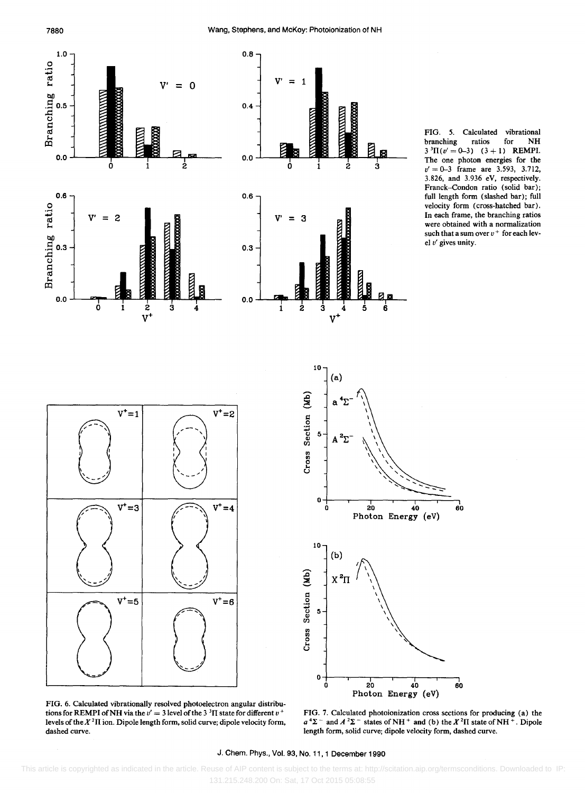7880







FIG. 6. Calculated vibrationally resolved photoelectron angular distributions for REMPI of NH via the  $v' = 3$  level of the 3<sup>3</sup>H state for different  $v^+$ levels of the  $X^2\Pi$  ion. Dipole length form, solid curve; dipole velocity form, dashed curve.



FIG. 7. Calculated photoionization cross sections for producing (a) the  $a^4\Sigma^-$  and  $A^2\Sigma^-$  states of NH<sup>+</sup> and (b) the  $X^2\Pi$  state of NH<sup>+</sup>. Dipole length form, solid curve; dipole velocity form, dashed curve.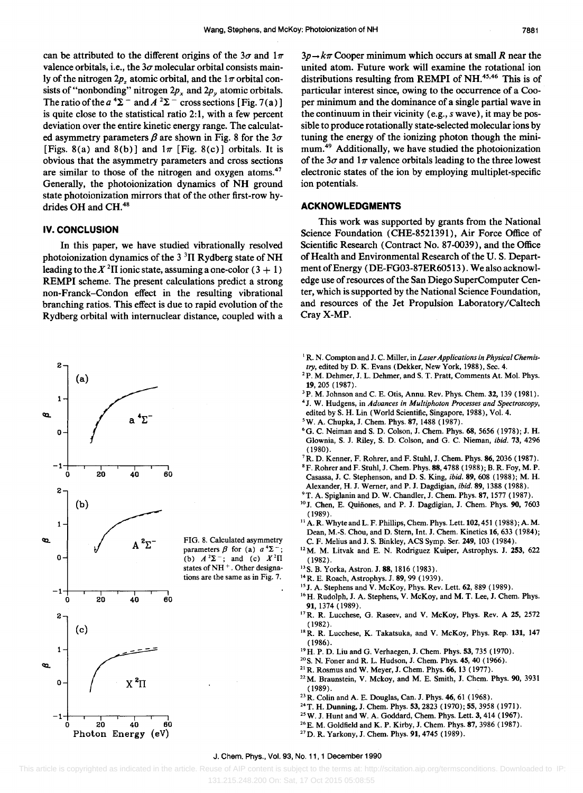can be attributed to the different origins of the  $3\sigma$  and  $1\pi$ valence orbitals, i.e., the  $3\sigma$  molecular orbital consists mainly of the nitrogen  $2p$ , atomic orbital, and the  $1\pi$  orbital consists of "nonbonding" nitrogen  $2p_x$  and  $2p_y$  atomic orbitals. The ratio of the  $a^4\Sigma^-$  and  $A^2\Sigma^-$  cross sections [Fig. 7(a)] is quite close to the statistical ratio 2:1, with a few percent deviation over the entire kinetic energy range. The calculated asymmetry parameters  $\beta$  are shown in Fig. 8 for the  $3\sigma$ [Figs. 8(a) and 8(b)] and  $1\pi$  [Fig. 8(c)] orbitals. It is obvious that the asymmetry parameters and cross sections are similar to those of the nitrogen and oxygen atoms. $47$ Generally, the photoionization dynamics of NH ground state photoionization mirrors that of the other first-row hydrides OH and CH.<sup>48</sup>

#### **IV. CONCLUSION**

In this paper, we have studied vibrationally resolved photoionization dynamics of the  $3<sup>3</sup>$ II Rydberg state of NH leading to the  $X<sup>2</sup>$ II ionic state, assuming a one-color (3 + 1) REMPI scheme. The present calculations predict a strong non-Franek-Condon effect in the resulting vibrational branching ratios. This effect is due to rapid evolution of the Rydberg orbital with internuclear distance, coupled with a



 $3p \rightarrow k\pi$  Cooper minimum which occurs at small *R* near the united atom. Future work will examine the rotational ion distributions resulting from REMPI of NH.<sup>45,46</sup> This is of particular interest since, owing to the occurrence of a Cooper minimum and the dominance of a single partial wave in the continuum in their vicinity (e.g., *s* wave), it may be possible to produce rotationally state-selected molecular ions by tuning the energy of the ionizing photon though the minimum.49 Additionally, we have studied the photoionization of the  $3\sigma$  and  $1\pi$  valence orbitals leading to the three lowest electronic states of the ion by employing multiplet-specific ion potentials.

#### **ACKNOWLEDGMENTS**

This work was supported by grants from the National Science Foundation (CHE-8521391), Air Force Office of Scientific Research (Contract No. 87-0039), and the Office of Health and Environmental Research of the U. S. DepartmentofEnergy (DE-FG03-87ER60513). We also acknowledge use of resources of the San Diego SuperComputer Center, which is supported by the National Science Foundation, and resources of the Jet Propulsion Laboratory/Caltech CrayX-MP.

- <sup>1</sup> R. N. Compton and J. C. Miller, in *Laser Applications in Physical Chemistry,* edited by D. K. Evans (Dekker, New York, 1988), Sec. 4.
- <sup>2</sup>P. M. Dehmer, J. L. Dehmer, and S. T. Pratt, Comments At. Mol. Phys. 19,205 (1987).
- <sup>3</sup>P. M. Johnson and C. E. Otis, Annu. Rev. Phys. Chem. 32, 139 (1981).
- 4 J. W. Hudgens, in *Advances in Multiphoton Processes and Spectroscopy,*
- edited by S. H. Lin (World Scientific, Singapore, 1988), Vol. 4.
- 'w. A. Chupka, J. Chern. Phys. 87, 1488 (1987).
- 6G. C. Neiman and S. D. Colson, J. Chern. Phys. 68, 5656 (1978); J. H. Glownia, S. J. Riley, S. D. Colson, and G. C. Nieman, *ibid.* 73, 4296 (1980).
- 7R. D. Kenner, F. Rohrer, and F. Stuhl, J. Chern. Phys. 86, 2036 (1987).
- 8 F. Rohrer and F. Stuhl, J. Chern. Phys. 88, 4788 (1988); B. R. Foy, M. P. Casassa, J. C. Stephenson, and D. S. King, *ibid.* 89, 608 (1988); M. H. Alexander, H. J. Werner, and P. J. Dagdigian, *ibid.* 89, 1388 (1988).
- <sup>9</sup> T. A. Spiglanin and D. W. Chandler, J. Chem. Phys. 87, 1577 (1987).
- <sup>10</sup> J. Chen, E. Quiñones, and P. J. Dagdigian, J. Chem. Phys. 90, 7603 (1989).
- $^{11}$  A. R. Whyte and L. F. Phillips, Chem. Phys. Lett. 102, 451 (1988); A. M. Dean, M.-S. Chou, and D. Stem, Int. J. Chern. Kinetics 16, 633 (1984); C. F. Melius and J. S. Binkley, ACS Syrnp. Ser. 249, 103 (1984).
- 12M. M. Litvak and E. N. Rodriguez Kuiper, Astrophys. J. 253, 622 (1982).
- <sup>13</sup> S. B. Yorka, Astron. J. 88, 1816 (1983).
- 14R. E. Roach, Astrophys. J. 89, 99 (1939).
- <sup>15</sup> J. A. Stephens and V. McKoy, Phys. Rev. Lett. 62, 889 (1989).
- <sup>16</sup> H. Rudolph, J. A. Stephens, V. McKoy, and M. T. Lee, J. Chem. Phys. 91, 1374 (1989).
- <sup>17</sup> R. R. Lucchese, G. Raseev, and V. McKoy, Phys. Rev. A 25, 2572 (1982).
- <sup>18</sup> R. R. Lucchese, K. Takatsuka, and V. McKoy, Phys. Rep. 131, 147 (1986).
- 19H. P. D. Liu and G. Verhaegen, J. Chern. Phys. 53, 735 (1970).
- 20 S. N. Foner and R. L. Hudson, J. Chern. Phys. 45, 40 (1966).
- 21 R. Rosrnus and W. Meyer, J. Chern. Phys. 66, 13 (1977).
- <sup>22</sup> M. Braunstein, V. Mckoy, and M. E. Smith, J. Chem. Phys. 90, 3931 (1989).
- 23 R. Colin and A. E. Douglas, Can. J. Phys. 46, 61 (1968).
- 24T. H. Dunning, J. Chern. Phys. 53, 2823 (1970); 55, 3958 (1971).
- 25W. J. Hunt and W. A. Goddard, Chern. Phys. Lett. 3, 414 (1967).
- 26E. M. Goldfield and K. P. Kirby, J. Chern. Phys. 87, 3986 (1987).
- 27D. R. Yarkony, J. Chern. Phys. 91, 4745 (1989).